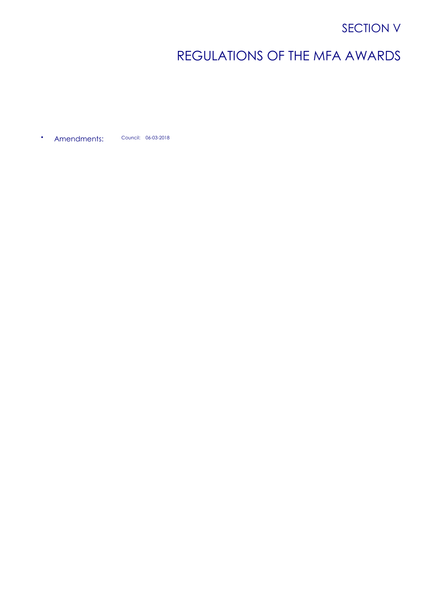## SECTION V

# REGULATIONS OF THE MFA AWARDS

• Amendments: Council: 06-03-2018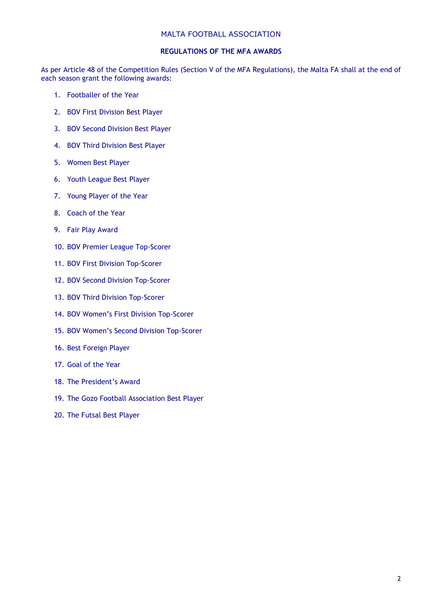#### MALTA FOOTBALL ASSOCIATION

## **REGULATIONS OF THE MFA AWARDS**

As per Article 48 of the Competition Rules (Section V of the MFA Regulations), the Malta FA shall at the end of each season grant the following awards:

- 1. Footballer of the Year
- 2. BOV First Division Best Player
- 3. BOV Second Division Best Player
- 4. BOV Third Division Best Player
- 5. Women Best Player
- 6. Youth League Best Player
- 7. Young Player of the Year
- 8. Coach of the Year
- 9. Fair Play Award
- 10. BOV Premier League Top-Scorer
- 11. BOV First Division Top-Scorer
- 12. BOV Second Division Top-Scorer
- 13. BOV Third Division Top-Scorer
- 14. BOV Women's First Division Top-Scorer
- 15. BOV Women's Second Division Top-Scorer
- 16. Best Foreign Player
- 17. Goal of the Year
- 18. The President's Award
- 19. The Gozo Football Association Best Player
- 20. The Futsal Best Player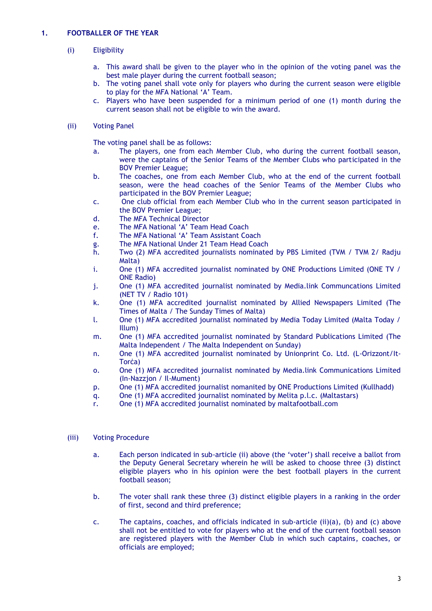## **1. FOOTBALLER OF THE YEAR**

## (i) Eligibility

- a. This award shall be given to the player who in the opinion of the voting panel was the best male player during the current football season;
- b. The voting panel shall vote only for players who during the current season were eligible to play for the MFA National 'A' Team.
- c. Players who have been suspended for a minimum period of one (1) month during the current season shall not be eligible to win the award.

## (ii) Voting Panel

The voting panel shall be as follows:

- a. The players, one from each Member Club, who during the current football season, were the captains of the Senior Teams of the Member Clubs who participated in the BOV Premier League;
- b. The coaches, one from each Member Club, who at the end of the current football season, were the head coaches of the Senior Teams of the Member Clubs who participated in the BOV Premier League;
- c. One club official from each Member Club who in the current season participated in the BOV Premier League;
- d. The MFA Technical Director
- e. The MFA National 'A' Team Head Coach<br>f. The MFA National 'A' Team Assistant Co
- The MFA National 'A' Team Assistant Coach
- g. The MFA National Under 21 Team Head Coach
- h. Two (2) MFA accredited journalists nominated by PBS Limited (TVM / TVM 2/ Radju Malta)
- i. One (1) MFA accredited journalist nominated by ONE Productions Limited (ONE TV / ONE Radio)
- j. One (1) MFA accredited journalist nominated by Media.link Communcations Limited (NET TV / Radio 101)
- k. One (1) MFA accredited journalist nominated by Allied Newspapers Limited (The Times of Malta / The Sunday Times of Malta)
- l. One (1) MFA accredited journalist nominated by Media Today Limited (Malta Today / Illum)
- m. One (1) MFA accredited journalist nominated by Standard Publications Limited (The Malta Independent / The Malta Independent on Sunday)
- n. One (1) MFA accredited journalist nominated by Unionprint Co. Ltd. (L-Orizzont/It-Torċa)
- o. One (1) MFA accredited journalist nominated by Media.link Communications Limited (In-Nazzjon / Il-Mument)
- p. One (1) MFA accredited journalist nomanited by ONE Productions Limited (Kullhadd)
- q. One (1) MFA accredited journalist nominated by Melita p.l.c. (Maltastars)
- r. One (1) MFA accredited journalist nominated by maltafootball.com

- a. Each person indicated in sub-article (ii) above (the 'voter') shall receive a ballot from the Deputy General Secretary wherein he will be asked to choose three (3) distinct eligible players who in his opinion were the best football players in the current football season;
- b. The voter shall rank these three (3) distinct eligible players in a ranking in the order of first, second and third preference;
- c. The captains, coaches, and officials indicated in sub-article (ii)(a), (b) and (c) above shall not be entitled to vote for players who at the end of the current football season are registered players with the Member Club in which such captains, coaches, or officials are employed;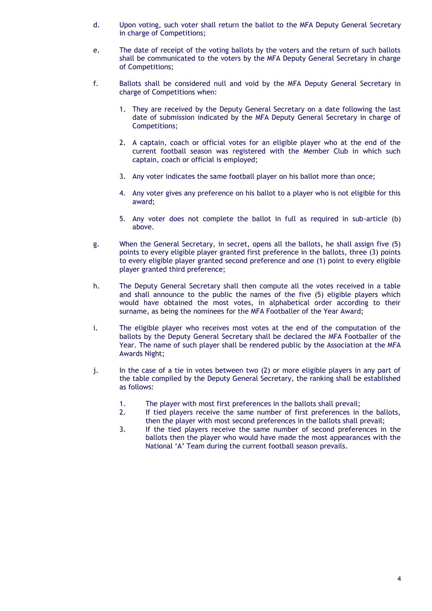- d. Upon voting, such voter shall return the ballot to the MFA Deputy General Secretary in charge of Competitions;
- e. The date of receipt of the voting ballots by the voters and the return of such ballots shall be communicated to the voters by the MFA Deputy General Secretary in charge of Competitions;
- f. Ballots shall be considered null and void by the MFA Deputy General Secretary in charge of Competitions when:
	- 1. They are received by the Deputy General Secretary on a date following the last date of submission indicated by the MFA Deputy General Secretary in charge of Competitions;
	- 2. A captain, coach or official votes for an eligible player who at the end of the current football season was registered with the Member Club in which such captain, coach or official is employed;
	- 3. Any voter indicates the same football player on his ballot more than once;
	- 4. Any voter gives any preference on his ballot to a player who is not eligible for this award;
	- 5. Any voter does not complete the ballot in full as required in sub-article (b) above.
- g. When the General Secretary, in secret, opens all the ballots, he shall assign five (5) points to every eligible player granted first preference in the ballots, three (3) points to every eligible player granted second preference and one (1) point to every eligible player granted third preference;
- h. The Deputy General Secretary shall then compute all the votes received in a table and shall announce to the public the names of the five (5) eligible players which would have obtained the most votes, in alphabetical order according to their surname, as being the nominees for the MFA Footballer of the Year Award;
- i. The eligible player who receives most votes at the end of the computation of the ballots by the Deputy General Secretary shall be declared the MFA Footballer of the Year. The name of such player shall be rendered public by the Association at the MFA Awards Night;
- j. In the case of a tie in votes between two (2) or more eligible players in any part of the table compiled by the Deputy General Secretary, the ranking shall be established as follows:
	- 1. The player with most first preferences in the ballots shall prevail;
	- 2. If tied players receive the same number of first preferences in the ballots, then the player with most second preferences in the ballots shall prevail;
	- 3. If the tied players receive the same number of second preferences in the ballots then the player who would have made the most appearances with the National 'A' Team during the current football season prevails.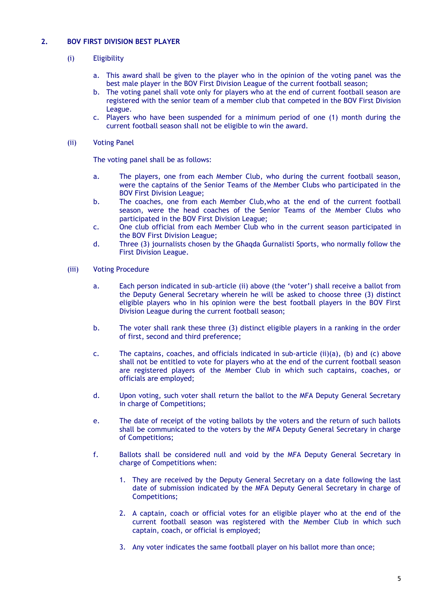## **2. BOV FIRST DIVISION BEST PLAYER**

- (i) Eligibility
	- a. This award shall be given to the player who in the opinion of the voting panel was the best male player in the BOV First Division League of the current football season;
	- b. The voting panel shall vote only for players who at the end of current football season are registered with the senior team of a member club that competed in the BOV First Division League.
	- c. Players who have been suspended for a minimum period of one (1) month during the current football season shall not be eligible to win the award.
- (ii) Voting Panel

- a. The players, one from each Member Club, who during the current football season, were the captains of the Senior Teams of the Member Clubs who participated in the BOV First Division League;
- b. The coaches, one from each Member Club,who at the end of the current football season, were the head coaches of the Senior Teams of the Member Clubs who participated in the BOV First Division League;
- c. One club official from each Member Club who in the current season participated in the BOV First Division League;
- d. Three (3) journalists chosen by the Għaqda Ġurnalisti Sports, who normally follow the First Division League.
- (iii) Voting Procedure
	- a. Each person indicated in sub-article (ii) above (the 'voter') shall receive a ballot from the Deputy General Secretary wherein he will be asked to choose three (3) distinct eligible players who in his opinion were the best football players in the BOV First Division League during the current football season;
	- b. The voter shall rank these three (3) distinct eligible players in a ranking in the order of first, second and third preference;
	- c. The captains, coaches, and officials indicated in sub-article (ii)(a), (b) and (c) above shall not be entitled to vote for players who at the end of the current football season are registered players of the Member Club in which such captains, coaches, or officials are employed;
	- d. Upon voting, such voter shall return the ballot to the MFA Deputy General Secretary in charge of Competitions;
	- e. The date of receipt of the voting ballots by the voters and the return of such ballots shall be communicated to the voters by the MFA Deputy General Secretary in charge of Competitions;
	- f. Ballots shall be considered null and void by the MFA Deputy General Secretary in charge of Competitions when:
		- 1. They are received by the Deputy General Secretary on a date following the last date of submission indicated by the MFA Deputy General Secretary in charge of Competitions;
		- 2. A captain, coach or official votes for an eligible player who at the end of the current football season was registered with the Member Club in which such captain, coach, or official is employed;
		- 3. Any voter indicates the same football player on his ballot more than once;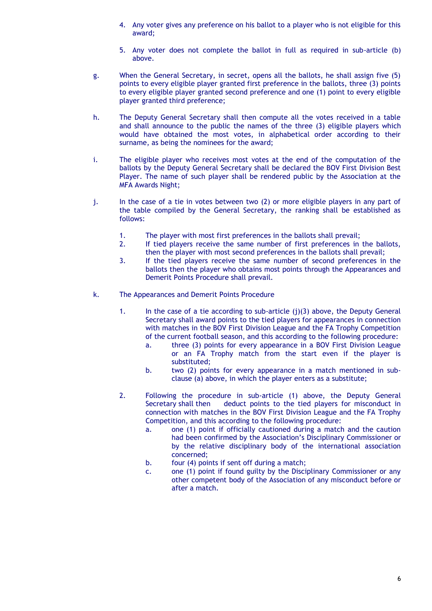- 4. Any voter gives any preference on his ballot to a player who is not eligible for this award;
- 5. Any voter does not complete the ballot in full as required in sub-article (b) above.
- g. When the General Secretary, in secret, opens all the ballots, he shall assign five (5) points to every eligible player granted first preference in the ballots, three (3) points to every eligible player granted second preference and one (1) point to every eligible player granted third preference;
- h. The Deputy General Secretary shall then compute all the votes received in a table and shall announce to the public the names of the three (3) eligible players which would have obtained the most votes, in alphabetical order according to their surname, as being the nominees for the award;
- i. The eligible player who receives most votes at the end of the computation of the ballots by the Deputy General Secretary shall be declared the BOV First Division Best Player. The name of such player shall be rendered public by the Association at the MFA Awards Night;
- j. In the case of a tie in votes between two (2) or more eligible players in any part of the table compiled by the General Secretary, the ranking shall be established as follows:
	- 1. The player with most first preferences in the ballots shall prevail;
	- 2. If tied players receive the same number of first preferences in the ballots, then the player with most second preferences in the ballots shall prevail;
	- 3. If the tied players receive the same number of second preferences in the ballots then the player who obtains most points through the Appearances and Demerit Points Procedure shall prevail.
- k. The Appearances and Demerit Points Procedure
	- 1. In the case of a tie according to sub-article  $(i)(3)$  above, the Deputy General Secretary shall award points to the tied players for appearances in connection with matches in the BOV First Division League and the FA Trophy Competition of the current football season, and this according to the following procedure:
		- a. three (3) points for every appearance in a BOV First Division League or an FA Trophy match from the start even if the player is substituted;
		- b. two (2) points for every appearance in a match mentioned in subclause (a) above, in which the player enters as a substitute;
	- 2. Following the procedure in sub-article (1) above, the Deputy General Secretary shall then deduct points to the tied players for misconduct in connection with matches in the BOV First Division League and the FA Trophy Competition, and this according to the following procedure:
		- a. one (1) point if officially cautioned during a match and the caution had been confirmed by the Association's Disciplinary Commissioner or by the relative disciplinary body of the international association concerned;
		- b. four (4) points if sent off during a match;
		- c. one (1) point if found guilty by the Disciplinary Commissioner or any other competent body of the Association of any misconduct before or after a match.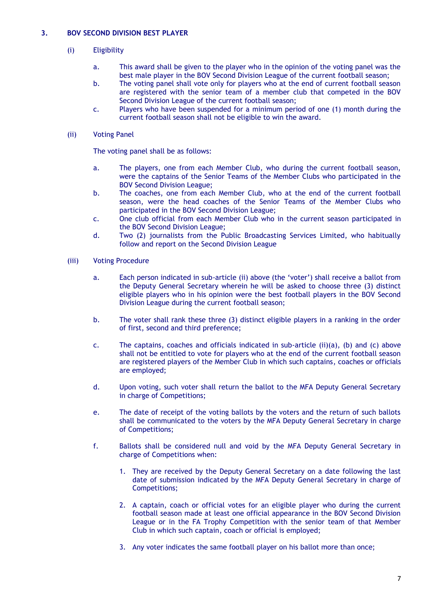## **3. BOV SECOND DIVISION BEST PLAYER**

## (i) Eligibility

- a. This award shall be given to the player who in the opinion of the voting panel was the best male player in the BOV Second Division League of the current football season;
- b. The voting panel shall vote only for players who at the end of current football season are registered with the senior team of a member club that competed in the BOV Second Division League of the current football season;
- c. Players who have been suspended for a minimum period of one (1) month during the current football season shall not be eligible to win the award.

#### (ii) Voting Panel

- a. The players, one from each Member Club, who during the current football season, were the captains of the Senior Teams of the Member Clubs who participated in the BOV Second Division League;
- b. The coaches, one from each Member Club, who at the end of the current football season, were the head coaches of the Senior Teams of the Member Clubs who participated in the BOV Second Division League;
- c. One club official from each Member Club who in the current season participated in the BOV Second Division League;
- d. Two (2) journalists from the Public Broadcasting Services Limited, who habitually follow and report on the Second Division League
- (iii) Voting Procedure
	- a. Each person indicated in sub-article (ii) above (the 'voter') shall receive a ballot from the Deputy General Secretary wherein he will be asked to choose three (3) distinct eligible players who in his opinion were the best football players in the BOV Second Division League during the current football season;
	- b. The voter shall rank these three (3) distinct eligible players in a ranking in the order of first, second and third preference;
	- c. The captains, coaches and officials indicated in sub-article (ii)(a), (b) and (c) above shall not be entitled to vote for players who at the end of the current football season are registered players of the Member Club in which such captains, coaches or officials are employed;
	- d. Upon voting, such voter shall return the ballot to the MFA Deputy General Secretary in charge of Competitions;
	- e. The date of receipt of the voting ballots by the voters and the return of such ballots shall be communicated to the voters by the MFA Deputy General Secretary in charge of Competitions;
	- f. Ballots shall be considered null and void by the MFA Deputy General Secretary in charge of Competitions when:
		- 1. They are received by the Deputy General Secretary on a date following the last date of submission indicated by the MFA Deputy General Secretary in charge of Competitions;
		- 2. A captain, coach or official votes for an eligible player who during the current football season made at least one official appearance in the BOV Second Division League or in the FA Trophy Competition with the senior team of that Member Club in which such captain, coach or official is employed;
		- 3. Any voter indicates the same football player on his ballot more than once;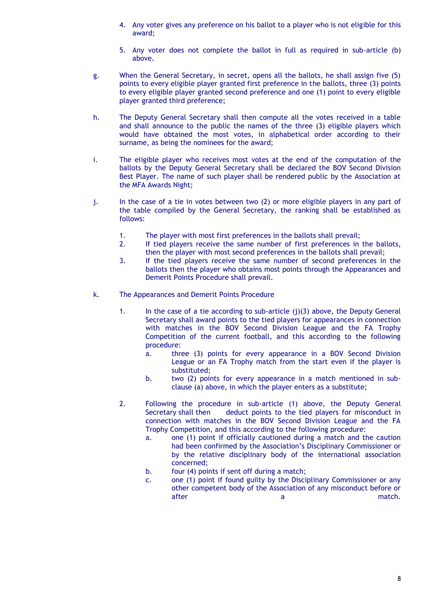- 4. Any voter gives any preference on his ballot to a player who is not eligible for this award;
- 5. Any voter does not complete the ballot in full as required in sub-article (b) above.
- g. When the General Secretary, in secret, opens all the ballots, he shall assign five (5) points to every eligible player granted first preference in the ballots, three (3) points to every eligible player granted second preference and one (1) point to every eligible player granted third preference;
- h. The Deputy General Secretary shall then compute all the votes received in a table and shall announce to the public the names of the three (3) eligible players which would have obtained the most votes, in alphabetical order according to their surname, as being the nominees for the award;
- i. The eligible player who receives most votes at the end of the computation of the ballots by the Deputy General Secretary shall be declared the BOV Second Division Best Player. The name of such player shall be rendered public by the Association at the MFA Awards Night;
- j. In the case of a tie in votes between two (2) or more eligible players in any part of the table compiled by the General Secretary, the ranking shall be established as follows:
	- 1. The player with most first preferences in the ballots shall prevail;
	- 2. If tied players receive the same number of first preferences in the ballots, then the player with most second preferences in the ballots shall prevail;
	- 3. If the tied players receive the same number of second preferences in the ballots then the player who obtains most points through the Appearances and Demerit Points Procedure shall prevail.
- k. The Appearances and Demerit Points Procedure
	- 1. In the case of a tie according to sub-article  $(i)(3)$  above, the Deputy General Secretary shall award points to the tied players for appearances in connection with matches in the BOV Second Division League and the FA Trophy Competition of the current football, and this according to the following procedure:
		- a. three (3) points for every appearance in a BOV Second Division League or an FA Trophy match from the start even if the player is substituted;
		- b. two (2) points for every appearance in a match mentioned in subclause (a) above, in which the player enters as a substitute;
	- 2. Following the procedure in sub-article (1) above, the Deputy General Secretary shall then deduct points to the tied players for misconduct in connection with matches in the BOV Second Division League and the FA Trophy Competition, and this according to the following procedure:
		- a. one (1) point if officially cautioned during a match and the caution had been confirmed by the Association's Disciplinary Commissioner or by the relative disciplinary body of the international association concerned;
		- b. four (4) points if sent off during a match;
		- c. one (1) point if found guilty by the Disciplinary Commissioner or any other competent body of the Association of any misconduct before or after a match.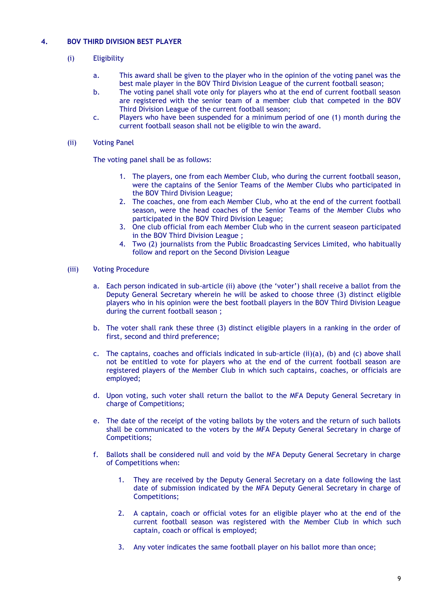## **4. BOV THIRD DIVISION BEST PLAYER**

- (i) Eligibility
	- a. This award shall be given to the player who in the opinion of the voting panel was the best male player in the BOV Third Division League of the current football season;
	- b. The voting panel shall vote only for players who at the end of current football season are registered with the senior team of a member club that competed in the BOV Third Division League of the current football season;
	- c. Players who have been suspended for a minimum period of one (1) month during the current football season shall not be eligible to win the award.
- (ii) Voting Panel

- 1. The players, one from each Member Club, who during the current football season, were the captains of the Senior Teams of the Member Clubs who participated in the BOV Third Division League;
- 2. The coaches, one from each Member Club, who at the end of the current football season, were the head coaches of the Senior Teams of the Member Clubs who participated in the BOV Third Division League;
- 3. One club official from each Member Club who in the current seaseon participated in the BOV Third Division League ;
- 4. Two (2) journalists from the Public Broadcasting Services Limited, who habitually follow and report on the Second Division League
- (iii) Voting Procedure
	- a. Each person indicated in sub-article (ii) above (the 'voter') shall receive a ballot from the Deputy General Secretary wherein he will be asked to choose three (3) distinct eligible players who in his opinion were the best football players in the BOV Third Division League during the current football season ;
	- b. The voter shall rank these three (3) distinct eligible players in a ranking in the order of first, second and third preference;
	- c. The captains, coaches and officials indicated in sub-article (ii)(a), (b) and (c) above shall not be entitled to vote for players who at the end of the current football season are registered players of the Member Club in which such captains, coaches, or officials are employed;
	- d. Upon voting, such voter shall return the ballot to the MFA Deputy General Secretary in charge of Competitions;
	- e. The date of the receipt of the voting ballots by the voters and the return of such ballots shall be communicated to the voters by the MFA Deputy General Secretary in charge of Competitions;
	- f. Ballots shall be considered null and void by the MFA Deputy General Secretary in charge of Competitions when:
		- 1. They are received by the Deputy General Secretary on a date following the last date of submission indicated by the MFA Deputy General Secretary in charge of Competitions;
		- 2. A captain, coach or official votes for an eligible player who at the end of the current football season was registered with the Member Club in which such captain, coach or offical is employed;
		- 3. Any voter indicates the same football player on his ballot more than once;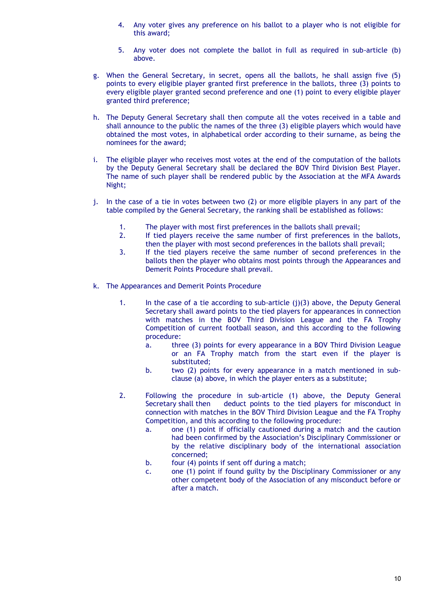- 4. Any voter gives any preference on his ballot to a player who is not eligible for this award;
- 5. Any voter does not complete the ballot in full as required in sub-article (b) above.
- g. When the General Secretary, in secret, opens all the ballots, he shall assign five (5) points to every eligible player granted first preference in the ballots, three (3) points to every eligible player granted second preference and one (1) point to every eligible player granted third preference;
- h. The Deputy General Secretary shall then compute all the votes received in a table and shall announce to the public the names of the three (3) eligible players which would have obtained the most votes, in alphabetical order according to their surname, as being the nominees for the award;
- i. The eligible player who receives most votes at the end of the computation of the ballots by the Deputy General Secretary shall be declared the BOV Third Division Best Player. The name of such player shall be rendered public by the Association at the MFA Awards Night;
- j. In the case of a tie in votes between two (2) or more eligible players in any part of the table compiled by the General Secretary, the ranking shall be established as follows:
	- 1. The player with most first preferences in the ballots shall prevail;<br>2. If tied players receive the same number of first preferences in
	- If tied players receive the same number of first preferences in the ballots, then the player with most second preferences in the ballots shall prevail;
	- 3. If the tied players receive the same number of second preferences in the ballots then the player who obtains most points through the Appearances and Demerit Points Procedure shall prevail.
- k. The Appearances and Demerit Points Procedure
	- 1. In the case of a tie according to sub-article (j)(3) above, the Deputy General Secretary shall award points to the tied players for appearances in connection with matches in the BOV Third Division League and the FA Trophy Competition of current football season, and this according to the following procedure:
		- a. three (3) points for every appearance in a BOV Third Division League or an FA Trophy match from the start even if the player is substituted;
		- b. two (2) points for every appearance in a match mentioned in subclause (a) above, in which the player enters as a substitute;
	- 2. Following the procedure in sub-article (1) above, the Deputy General Secretary shall then deduct points to the tied players for misconduct in connection with matches in the BOV Third Division League and the FA Trophy Competition, and this according to the following procedure:
		- a. one (1) point if officially cautioned during a match and the caution had been confirmed by the Association's Disciplinary Commissioner or by the relative disciplinary body of the international association concerned;
		- b. four (4) points if sent off during a match;
		- c. one (1) point if found guilty by the Disciplinary Commissioner or any other competent body of the Association of any misconduct before or after a match.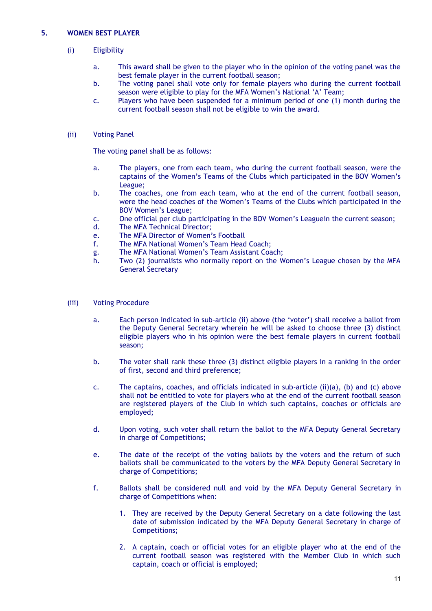## **5. WOMEN BEST PLAYER**

## (i) Eligibility

- a. This award shall be given to the player who in the opinion of the voting panel was the best female player in the current football season;
- b. The voting panel shall vote only for female players who during the current football season were eligible to play for the MFA Women's National 'A' Team;
- c. Players who have been suspended for a minimum period of one (1) month during the current football season shall not be eligible to win the award.

## (ii) Voting Panel

- a. The players, one from each team, who during the current football season, were the captains of the Women's Teams of the Clubs which participated in the BOV Women's League;
- b. The coaches, one from each team, who at the end of the current football season, were the head coaches of the Women's Teams of the Clubs which participated in the BOV Women's League;
- c. One official per club participating in the BOV Women's Leaguein the current season;
- d. The MFA Technical Director;
- e. The MFA Director of Women's Football
- f. The MFA National Women's Team Head Coach;
- g. The MFA National Women's Team Assistant Coach;
- h. Two (2) journalists who normally report on the Women's League chosen by the MFA General Secretary
- (iii) Voting Procedure
	- a. Each person indicated in sub-article (ii) above (the 'voter') shall receive a ballot from the Deputy General Secretary wherein he will be asked to choose three (3) distinct eligible players who in his opinion were the best female players in current football season;
	- b. The voter shall rank these three (3) distinct eligible players in a ranking in the order of first, second and third preference;
	- c. The captains, coaches, and officials indicated in sub-article (ii)(a), (b) and (c) above shall not be entitled to vote for players who at the end of the current football season are registered players of the Club in which such captains, coaches or officials are employed;
	- d. Upon voting, such voter shall return the ballot to the MFA Deputy General Secretary in charge of Competitions;
	- e. The date of the receipt of the voting ballots by the voters and the return of such ballots shall be communicated to the voters by the MFA Deputy General Secretary in charge of Competitions;
	- f. Ballots shall be considered null and void by the MFA Deputy General Secretary in charge of Competitions when:
		- 1. They are received by the Deputy General Secretary on a date following the last date of submission indicated by the MFA Deputy General Secretary in charge of Competitions;
		- 2. A captain, coach or official votes for an eligible player who at the end of the current football season was registered with the Member Club in which such captain, coach or official is employed;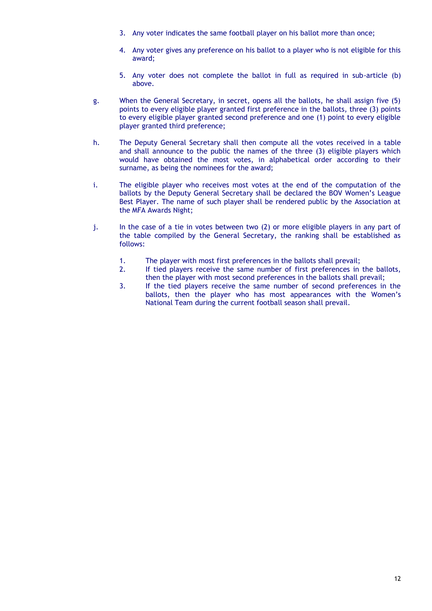- 3. Any voter indicates the same football player on his ballot more than once;
- 4. Any voter gives any preference on his ballot to a player who is not eligible for this award;
- 5. Any voter does not complete the ballot in full as required in sub-article (b) above.
- g. When the General Secretary, in secret, opens all the ballots, he shall assign five (5) points to every eligible player granted first preference in the ballots, three (3) points to every eligible player granted second preference and one (1) point to every eligible player granted third preference;
- h. The Deputy General Secretary shall then compute all the votes received in a table and shall announce to the public the names of the three (3) eligible players which would have obtained the most votes, in alphabetical order according to their surname, as being the nominees for the award;
- i. The eligible player who receives most votes at the end of the computation of the ballots by the Deputy General Secretary shall be declared the BOV Women's League Best Player. The name of such player shall be rendered public by the Association at the MFA Awards Night;
- j. In the case of a tie in votes between two (2) or more eligible players in any part of the table compiled by the General Secretary, the ranking shall be established as follows:
	- 1. The player with most first preferences in the ballots shall prevail;
	- 2. If tied players receive the same number of first preferences in the ballots, then the player with most second preferences in the ballots shall prevail;
	- 3. If the tied players receive the same number of second preferences in the ballots, then the player who has most appearances with the Women's National Team during the current football season shall prevail.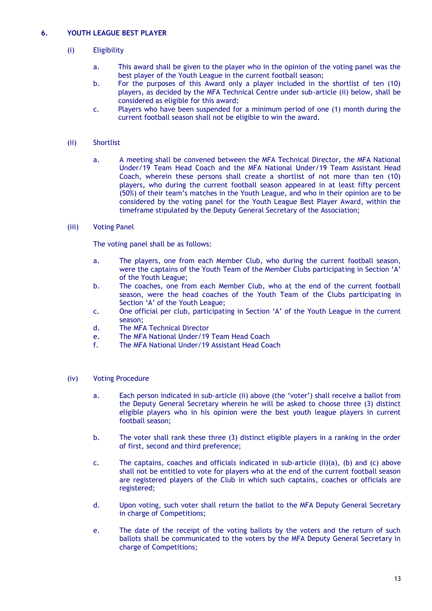## **6. YOUTH LEAGUE BEST PLAYER**

## (i) Eligibility

- a. This award shall be given to the player who in the opinion of the voting panel was the best player of the Youth League in the current football season;
- b. For the purposes of this Award only a player included in the shortlist of ten (10) players, as decided by the MFA Technical Centre under sub-article (ii) below, shall be considered as eligible for this award;
- c. Players who have been suspended for a minimum period of one (1) month during the current football season shall not be eligible to win the award.

#### (ii) Shortlist

a. A meeting shall be convened between the MFA Technical Director, the MFA National Under/19 Team Head Coach and the MFA National Under/19 Team Assistant Head Coach, wherein these persons shall create a shortlist of not more than ten (10) players, who during the current football season appeared in at least fifty percent (50%) of their team's matches in the Youth League, and who in their opinion are to be considered by the voting panel for the Youth League Best Player Award, within the timeframe stipulated by the Deputy General Secretary of the Association;

#### (iii) Voting Panel

The voting panel shall be as follows:

- a. The players, one from each Member Club, who during the current football season, were the captains of the Youth Team of the Member Clubs participating in Section 'A' of the Youth League;
- b. The coaches, one from each Member Club, who at the end of the current football season, were the head coaches of the Youth Team of the Clubs participating in Section 'A' of the Youth League;
- c. One official per club, participating in Section 'A' of the Youth League in the current season;
- d. The MFA Technical Director
- e. The MFA National Under/19 Team Head Coach<br>f. The MFA National Under/19 Assistant Head Coa
- The MFA National Under/19 Assistant Head Coach

- a. Each person indicated in sub-article (ii) above (the 'voter') shall receive a ballot from the Deputy General Secretary wherein he will be asked to choose three (3) distinct eligible players who in his opinion were the best youth league players in current football season;
- b. The voter shall rank these three (3) distinct eligible players in a ranking in the order of first, second and third preference;
- c. The captains, coaches and officials indicated in sub-article (ii)(a), (b) and (c) above shall not be entitled to vote for players who at the end of the current football season are registered players of the Club in which such captains, coaches or officials are registered;
- d. Upon voting, such voter shall return the ballot to the MFA Deputy General Secretary in charge of Competitions;
- e. The date of the receipt of the voting ballots by the voters and the return of such ballots shall be communicated to the voters by the MFA Deputy General Secretary in charge of Competitions;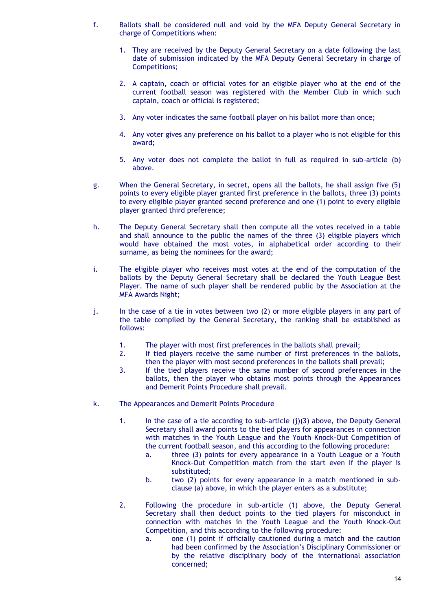- f. Ballots shall be considered null and void by the MFA Deputy General Secretary in charge of Competitions when:
	- 1. They are received by the Deputy General Secretary on a date following the last date of submission indicated by the MFA Deputy General Secretary in charge of Competitions;
	- 2. A captain, coach or official votes for an eligible player who at the end of the current football season was registered with the Member Club in which such captain, coach or official is registered;
	- 3. Any voter indicates the same football player on his ballot more than once;
	- 4. Any voter gives any preference on his ballot to a player who is not eligible for this award;
	- 5. Any voter does not complete the ballot in full as required in sub-article (b) above.
- g. When the General Secretary, in secret, opens all the ballots, he shall assign five (5) points to every eligible player granted first preference in the ballots, three (3) points to every eligible player granted second preference and one (1) point to every eligible player granted third preference;
- h. The Deputy General Secretary shall then compute all the votes received in a table and shall announce to the public the names of the three (3) eligible players which would have obtained the most votes, in alphabetical order according to their surname, as being the nominees for the award;
- i. The eligible player who receives most votes at the end of the computation of the ballots by the Deputy General Secretary shall be declared the Youth League Best Player. The name of such player shall be rendered public by the Association at the MFA Awards Night;
- j. In the case of a tie in votes between two (2) or more eligible players in any part of the table compiled by the General Secretary, the ranking shall be established as follows:
	- 1. The player with most first preferences in the ballots shall prevail;<br>2. If tied players receive the same number of first preferences in
	- If tied players receive the same number of first preferences in the ballots, then the player with most second preferences in the ballots shall prevail;
	- 3. If the tied players receive the same number of second preferences in the ballots, then the player who obtains most points through the Appearances and Demerit Points Procedure shall prevail.
- k. The Appearances and Demerit Points Procedure
	- 1. In the case of a tie according to sub-article (j)(3) above, the Deputy General Secretary shall award points to the tied players for appearances in connection with matches in the Youth League and the Youth Knock-Out Competition of the current football season, and this according to the following procedure:
		- a. three (3) points for every appearance in a Youth League or a Youth Knock-Out Competition match from the start even if the player is substituted;
		- b. two (2) points for every appearance in a match mentioned in subclause (a) above, in which the player enters as a substitute;
	- 2. Following the procedure in sub-article (1) above, the Deputy General Secretary shall then deduct points to the tied players for misconduct in connection with matches in the Youth League and the Youth Knock-Out Competition, and this according to the following procedure:
		- a. one (1) point if officially cautioned during a match and the caution had been confirmed by the Association's Disciplinary Commissioner or by the relative disciplinary body of the international association concerned;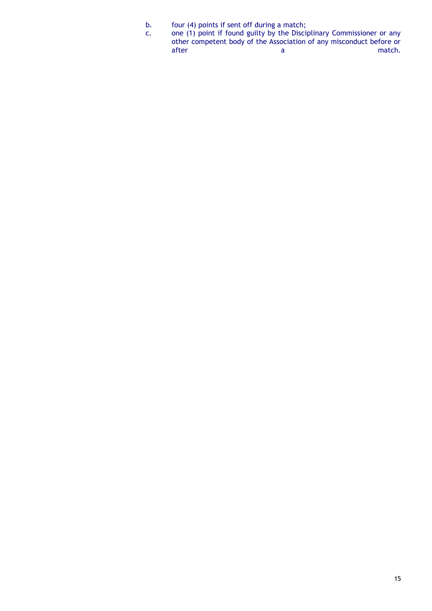- b. four (4) points if sent off during a match;
- c. one (1) point if found guilty by the Disciplinary Commissioner or any other competent body of the Association of any misconduct before or after a match.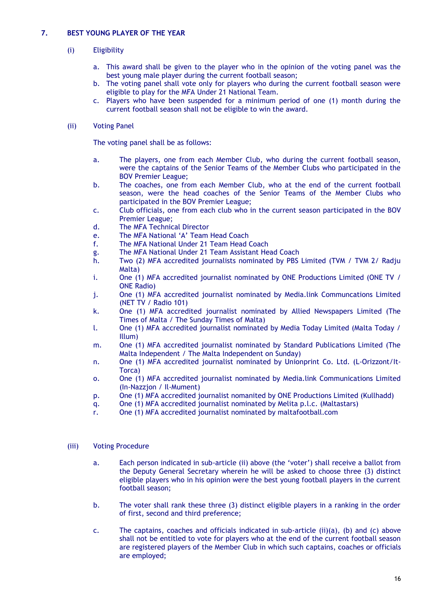## **7. BEST YOUNG PLAYER OF THE YEAR**

## (i) Eligibility

- a. This award shall be given to the player who in the opinion of the voting panel was the best young male player during the current football season;
- b. The voting panel shall vote only for players who during the current football season were eligible to play for the MFA Under 21 National Team.
- c. Players who have been suspended for a minimum period of one (1) month during the current football season shall not be eligible to win the award.

## (ii) Voting Panel

The voting panel shall be as follows:

- a. The players, one from each Member Club, who during the current football season, were the captains of the Senior Teams of the Member Clubs who participated in the BOV Premier League;
- b. The coaches, one from each Member Club, who at the end of the current football season, were the head coaches of the Senior Teams of the Member Clubs who participated in the BOV Premier League;
- c. Club officials, one from each club who in the current season participated in the BOV Premier League;
- d. The MFA Technical Director
- e. The MFA National 'A' Team Head Coach
- f. The MFA National Under 21 Team Head Coach
- g. The MFA National Under 21 Team Assistant Head Coach
- h. Two (2) MFA accredited journalists nominated by PBS Limited (TVM / TVM 2/ Radju Malta)
- i. One (1) MFA accredited journalist nominated by ONE Productions Limited (ONE TV / ONE Radio)
- j. One (1) MFA accredited journalist nominated by Media.link Communcations Limited (NET TV / Radio 101)
- k. One (1) MFA accredited journalist nominated by Allied Newspapers Limited (The Times of Malta / The Sunday Times of Malta)
- l. One (1) MFA accredited journalist nominated by Media Today Limited (Malta Today / Illum)
- m. One (1) MFA accredited journalist nominated by Standard Publications Limited (The Malta Independent / The Malta Independent on Sunday)
- n. One (1) MFA accredited journalist nominated by Unionprint Co. Ltd. (L-Orizzont/It-Torca)
- o. One (1) MFA accredited journalist nominated by Media.link Communications Limited (In-Nazzjon / Il-Mument)
- p. One (1) MFA accredited journalist nomanited by ONE Productions Limited (Kullhadd)
- q. One (1) MFA accredited journalist nominated by Melita p.l.c. (Maltastars)
- r. One (1) MFA accredited journalist nominated by maltafootball.com

- a. Each person indicated in sub-article (ii) above (the 'voter') shall receive a ballot from the Deputy General Secretary wherein he will be asked to choose three (3) distinct eligible players who in his opinion were the best young football players in the current football season;
- b. The voter shall rank these three (3) distinct eligible players in a ranking in the order of first, second and third preference;
- c. The captains, coaches and officials indicated in sub-article (ii)(a), (b) and (c) above shall not be entitled to vote for players who at the end of the current football season are registered players of the Member Club in which such captains, coaches or officials are employed;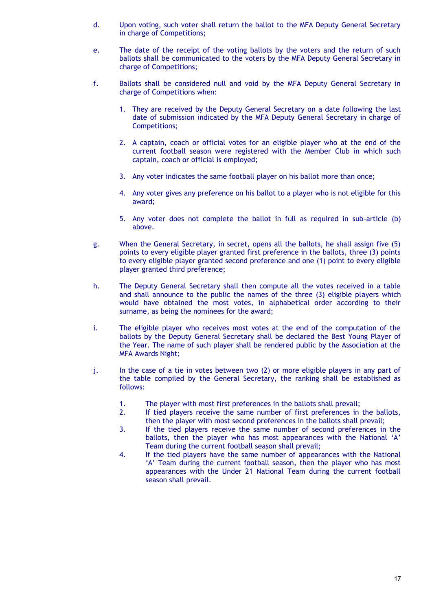- d. Upon voting, such voter shall return the ballot to the MFA Deputy General Secretary in charge of Competitions;
- e. The date of the receipt of the voting ballots by the voters and the return of such ballots shall be communicated to the voters by the MFA Deputy General Secretary in charge of Competitions;
- f. Ballots shall be considered null and void by the MFA Deputy General Secretary in charge of Competitions when:
	- 1. They are received by the Deputy General Secretary on a date following the last date of submission indicated by the MFA Deputy General Secretary in charge of Competitions;
	- 2. A captain, coach or official votes for an eligible player who at the end of the current football season were registered with the Member Club in which such captain, coach or official is employed;
	- 3. Any voter indicates the same football player on his ballot more than once;
	- 4. Any voter gives any preference on his ballot to a player who is not eligible for this award;
	- 5. Any voter does not complete the ballot in full as required in sub-article (b) above.
- g. When the General Secretary, in secret, opens all the ballots, he shall assign five (5) points to every eligible player granted first preference in the ballots, three (3) points to every eligible player granted second preference and one (1) point to every eligible player granted third preference;
- h. The Deputy General Secretary shall then compute all the votes received in a table and shall announce to the public the names of the three (3) eligible players which would have obtained the most votes, in alphabetical order according to their surname, as being the nominees for the award;
- i. The eligible player who receives most votes at the end of the computation of the ballots by the Deputy General Secretary shall be declared the Best Young Player of the Year. The name of such player shall be rendered public by the Association at the MFA Awards Night;
- j. In the case of a tie in votes between two (2) or more eligible players in any part of the table compiled by the General Secretary, the ranking shall be established as follows:
	- 1. The player with most first preferences in the ballots shall prevail;
	- 2. If tied players receive the same number of first preferences in the ballots, then the player with most second preferences in the ballots shall prevail;
	- 3. If the tied players receive the same number of second preferences in the ballots, then the player who has most appearances with the National 'A' Team during the current football season shall prevail;
	- 4. If the tied players have the same number of appearances with the National 'A' Team during the current football season, then the player who has most appearances with the Under 21 National Team during the current football season shall prevail.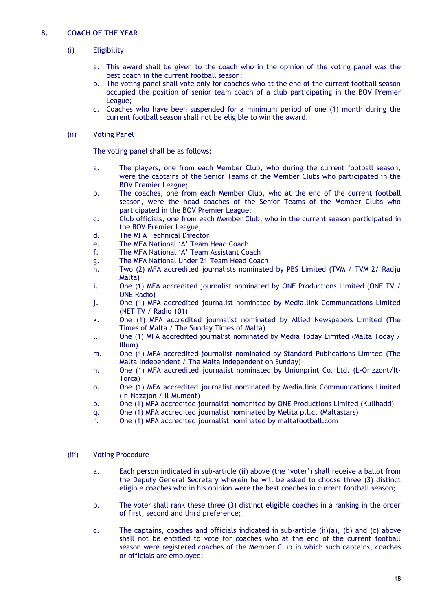## (i) Eligibility

- a. This award shall be given to the coach who in the opinion of the voting panel was the best coach in the current football season;
- b. The voting panel shall vote only for coaches who at the end of the current football season occupied the position of senior team coach of a club participating in the BOV Premier League;
- c. Coaches who have been suspended for a minimum period of one (1) month during the current football season shall not be eligible to win the award.

#### (ii) Voting Panel

The voting panel shall be as follows:

- a. The players, one from each Member Club, who during the current football season, were the captains of the Senior Teams of the Member Clubs who participated in the BOV Premier League;
- b. The coaches, one from each Member Club, who at the end of the current football season, were the head coaches of the Senior Teams of the Member Clubs who participated in the BOV Premier League;
- c. Club officials, one from each Member Club, who in the current season participated in the BOV Premier League;
- d. The MFA Technical Director
- e. The MFA National 'A' Team Head Coach
- f. The MFA National 'A' Team Assistant Coach
- g. The MFA National Under 21 Team Head Coach
- h. Two (2) MFA accredited journalists nominated by PBS Limited (TVM / TVM 2/ Radju Malta)
- i. One (1) MFA accredited journalist nominated by ONE Productions Limited (ONE TV / ONE Radio)
- j. One (1) MFA accredited journalist nominated by Media.link Communcations Limited (NET TV / Radio 101)
- k. One (1) MFA accredited journalist nominated by Allied Newspapers Limited (The Times of Malta / The Sunday Times of Malta)
- l. One (1) MFA accredited journalist nominated by Media Today Limited (Malta Today / Illum)
- m. One (1) MFA accredited journalist nominated by Standard Publications Limited (The Malta Independent / The Malta Independent on Sunday)
- n. One (1) MFA accredited journalist nominated by Unionprint Co. Ltd. (L-Orizzont/It-Torca)
- o. One (1) MFA accredited journalist nominated by Media.link Communications Limited (In-Nazzjon / Il-Mument)
- p. One (1) MFA accredited journalist nomanited by ONE Productions Limited (Kullhadd)
- q. One (1) MFA accredited journalist nominated by Melita p.l.c. (Maltastars)
- r. One (1) MFA accredited journalist nominated by maltafootball.com

- a. Each person indicated in sub-article (ii) above (the 'voter') shall receive a ballot from the Deputy General Secretary wherein he will be asked to choose three (3) distinct eligible coaches who in his opinion were the best coaches in current football season;
- b. The voter shall rank these three (3) distinct eligible coaches in a ranking in the order of first, second and third preference;
- c. The captains, coaches and officials indicated in sub-article (ii)(a), (b) and (c) above shall not be entitled to vote for coaches who at the end of the current football season were registered coaches of the Member Club in which such captains, coaches or officials are employed;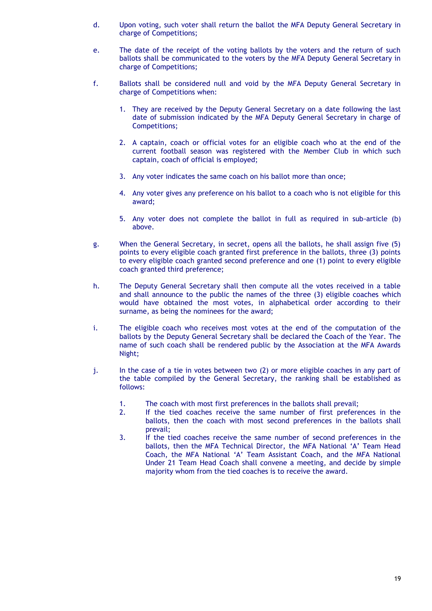- d. Upon voting, such voter shall return the ballot the MFA Deputy General Secretary in charge of Competitions;
- e. The date of the receipt of the voting ballots by the voters and the return of such ballots shall be communicated to the voters by the MFA Deputy General Secretary in charge of Competitions;
- f. Ballots shall be considered null and void by the MFA Deputy General Secretary in charge of Competitions when:
	- 1. They are received by the Deputy General Secretary on a date following the last date of submission indicated by the MFA Deputy General Secretary in charge of Competitions;
	- 2. A captain, coach or official votes for an eligible coach who at the end of the current football season was registered with the Member Club in which such captain, coach of official is employed;
	- 3. Any voter indicates the same coach on his ballot more than once;
	- 4. Any voter gives any preference on his ballot to a coach who is not eligible for this award;
	- 5. Any voter does not complete the ballot in full as required in sub-article (b) above.
- g. When the General Secretary, in secret, opens all the ballots, he shall assign five (5) points to every eligible coach granted first preference in the ballots, three (3) points to every eligible coach granted second preference and one (1) point to every eligible coach granted third preference;
- h. The Deputy General Secretary shall then compute all the votes received in a table and shall announce to the public the names of the three (3) eligible coaches which would have obtained the most votes, in alphabetical order according to their surname, as being the nominees for the award;
- i. The eligible coach who receives most votes at the end of the computation of the ballots by the Deputy General Secretary shall be declared the Coach of the Year. The name of such coach shall be rendered public by the Association at the MFA Awards Night;
- j. In the case of a tie in votes between two (2) or more eligible coaches in any part of the table compiled by the General Secretary, the ranking shall be established as follows:
	- 1. The coach with most first preferences in the ballots shall prevail;
	- 2. If the tied coaches receive the same number of first preferences in the ballots, then the coach with most second preferences in the ballots shall prevail;
	- 3. If the tied coaches receive the same number of second preferences in the ballots, then the MFA Technical Director, the MFA National 'A' Team Head Coach, the MFA National 'A' Team Assistant Coach, and the MFA National Under 21 Team Head Coach shall convene a meeting, and decide by simple majority whom from the tied coaches is to receive the award.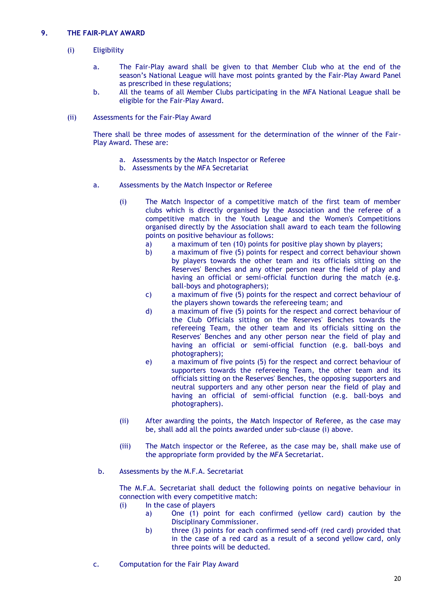## **9. THE FAIR-PLAY AWARD**

## (i) Eligibility

- a. The Fair-Play award shall be given to that Member Club who at the end of the season's National League will have most points granted by the Fair-Play Award Panel as prescribed in these regulations;
- b. All the teams of all Member Clubs participating in the MFA National League shall be eligible for the Fair-Play Award.
- (ii) Assessments for the Fair-Play Award

There shall be three modes of assessment for the determination of the winner of the Fair-Play Award. These are:

- a. Assessments by the Match Inspector or Referee
- b. Assessments by the MFA Secretariat
- a. Assessments by the Match Inspector or Referee
	- (i) The Match Inspector of a competitive match of the first team of member clubs which is directly organised by the Association and the referee of a competitive match in the Youth League and the Women's Competitions organised directly by the Association shall award to each team the following points on positive behaviour as follows:
		- a) a maximum of ten (10) points for positive play shown by players;
		- b) a maximum of five (5) points for respect and correct behaviour shown by players towards the other team and its officials sitting on the Reserves' Benches and any other person near the field of play and having an official or semi-official function during the match (e.g. ball-boys and photographers);
		- c) a maximum of five (5) points for the respect and correct behaviour of the players shown towards the refereeing team; and
		- d) a maximum of five (5) points for the respect and correct behaviour of the Club Officials sitting on the Reserves' Benches towards the refereeing Team, the other team and its officials sitting on the Reserves' Benches and any other person near the field of play and having an official or semi-official function (e.g. ball-boys and photographers);
		- e) a maximum of five points (5) for the respect and correct behaviour of supporters towards the refereeing Team, the other team and its officials sitting on the Reserves' Benches, the opposing supporters and neutral supporters and any other person near the field of play and having an official of semi-official function (e.g. ball-boys and photographers).
	- (ii) After awarding the points, the Match Inspector of Referee, as the case may be, shall add all the points awarded under sub-clause (i) above.
	- (iii) The Match inspector or the Referee, as the case may be, shall make use of the appropriate form provided by the MFA Secretariat.
	- b. Assessments by the M.F.A. Secretariat

The M.F.A. Secretariat shall deduct the following points on negative behaviour in connection with every competitive match:

- (i) In the case of players
	- a) One (1) point for each confirmed (yellow card) caution by the Disciplinary Commissioner.
	- b) three (3) points for each confirmed send-off (red card) provided that in the case of a red card as a result of a second yellow card, only three points will be deducted.
- c. Computation for the Fair Play Award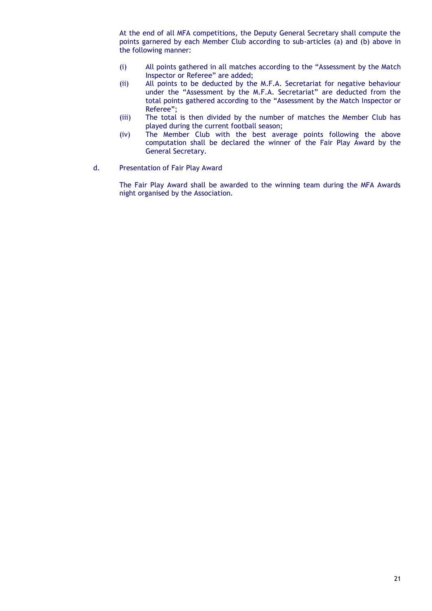At the end of all MFA competitions, the Deputy General Secretary shall compute the points garnered by each Member Club according to sub-articles (a) and (b) above in the following manner:

- (i) All points gathered in all matches according to the "Assessment by the Match Inspector or Referee" are added;
- (ii) All points to be deducted by the M.F.A. Secretariat for negative behaviour under the "Assessment by the M.F.A. Secretariat" are deducted from the total points gathered according to the "Assessment by the Match Inspector or Referee";
- (iii) The total is then divided by the number of matches the Member Club has played during the current football season;
- (iv) The Member Club with the best average points following the above computation shall be declared the winner of the Fair Play Award by the General Secretary.
- d. Presentation of Fair Play Award

The Fair Play Award shall be awarded to the winning team during the MFA Awards night organised by the Association.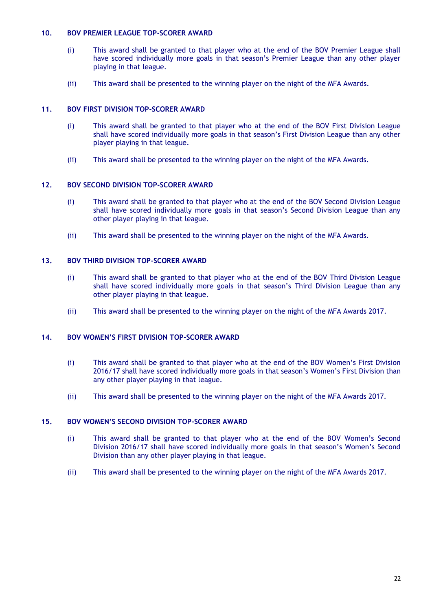#### **10. BOV PREMIER LEAGUE TOP-SCORER AWARD**

- (i) This award shall be granted to that player who at the end of the BOV Premier League shall have scored individually more goals in that season's Premier League than any other player playing in that league.
- (ii) This award shall be presented to the winning player on the night of the MFA Awards.

## **11. BOV FIRST DIVISION TOP-SCORER AWARD**

- (i) This award shall be granted to that player who at the end of the BOV First Division League shall have scored individually more goals in that season's First Division League than any other player playing in that league.
- (ii) This award shall be presented to the winning player on the night of the MFA Awards.

#### **12. BOV SECOND DIVISION TOP-SCORER AWARD**

- (i) This award shall be granted to that player who at the end of the BOV Second Division League shall have scored individually more goals in that season's Second Division League than any other player playing in that league.
- (ii) This award shall be presented to the winning player on the night of the MFA Awards.

## **13. BOV THIRD DIVISION TOP-SCORER AWARD**

- (i) This award shall be granted to that player who at the end of the BOV Third Division League shall have scored individually more goals in that season's Third Division League than any other player playing in that league.
- (ii) This award shall be presented to the winning player on the night of the MFA Awards 2017.

## **14. BOV WOMEN'S FIRST DIVISION TOP-SCORER AWARD**

- (i) This award shall be granted to that player who at the end of the BOV Women's First Division 2016/17 shall have scored individually more goals in that season's Women's First Division than any other player playing in that league.
- (ii) This award shall be presented to the winning player on the night of the MFA Awards 2017.

## **15. BOV WOMEN'S SECOND DIVISION TOP-SCORER AWARD**

- (i) This award shall be granted to that player who at the end of the BOV Women's Second Division 2016/17 shall have scored individually more goals in that season's Women's Second Division than any other player playing in that league.
- (ii) This award shall be presented to the winning player on the night of the MFA Awards 2017.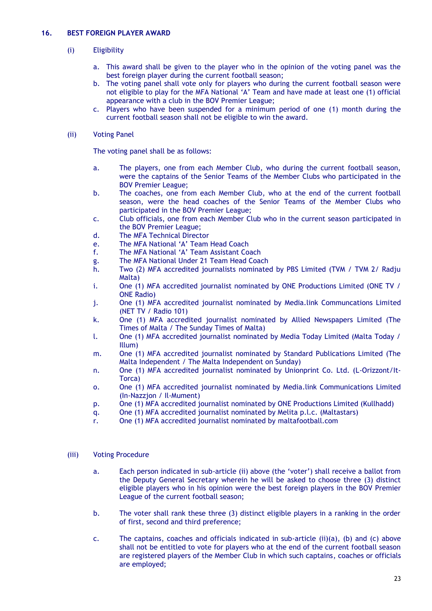## **16. BEST FOREIGN PLAYER AWARD**

## (i) Eligibility

- a. This award shall be given to the player who in the opinion of the voting panel was the best foreign player during the current football season;
- b. The voting panel shall vote only for players who during the current football season were not eligible to play for the MFA National 'A' Team and have made at least one (1) official appearance with a club in the BOV Premier League;
- c. Players who have been suspended for a minimum period of one (1) month during the current football season shall not be eligible to win the award.

#### (ii) Voting Panel

The voting panel shall be as follows:

- a. The players, one from each Member Club, who during the current football season, were the captains of the Senior Teams of the Member Clubs who participated in the BOV Premier League;
- b. The coaches, one from each Member Club, who at the end of the current football season, were the head coaches of the Senior Teams of the Member Clubs who participated in the BOV Premier League;
- c. Club officials, one from each Member Club who in the current season participated in the BOV Premier League;
- d. The MFA Technical Director
- e. The MFA National 'A' Team Head Coach
- f. The MFA National 'A' Team Assistant Coach
- g. The MFA National Under 21 Team Head Coach
- h. Two (2) MFA accredited journalists nominated by PBS Limited (TVM / TVM 2/ Radju Malta)
- i. One (1) MFA accredited journalist nominated by ONE Productions Limited (ONE TV / ONE Radio)
- j. One (1) MFA accredited journalist nominated by Media.link Communcations Limited (NET TV / Radio 101)
- k. One (1) MFA accredited journalist nominated by Allied Newspapers Limited (The Times of Malta / The Sunday Times of Malta)
- l. One (1) MFA accredited journalist nominated by Media Today Limited (Malta Today / Illum)
- m. One (1) MFA accredited journalist nominated by Standard Publications Limited (The Malta Independent / The Malta Independent on Sunday)
- n. One (1) MFA accredited journalist nominated by Unionprint Co. Ltd. (L-Orizzont/It-Torca)
- o. One (1) MFA accredited journalist nominated by Media.link Communications Limited (In-Nazzjon / Il-Mument)
- p. One (1) MFA accredited journalist nominated by ONE Productions Limited (Kullhadd)
- q. One (1) MFA accredited journalist nominated by Melita p.l.c. (Maltastars)
- r. One (1) MFA accredited journalist nominated by maltafootball.com

- a. Each person indicated in sub-article (ii) above (the 'voter') shall receive a ballot from the Deputy General Secretary wherein he will be asked to choose three (3) distinct eligible players who in his opinion were the best foreign players in the BOV Premier League of the current football season;
- b. The voter shall rank these three (3) distinct eligible players in a ranking in the order of first, second and third preference;
- c. The captains, coaches and officials indicated in sub-article (ii)(a), (b) and (c) above shall not be entitled to vote for players who at the end of the current football season are registered players of the Member Club in which such captains, coaches or officials are employed;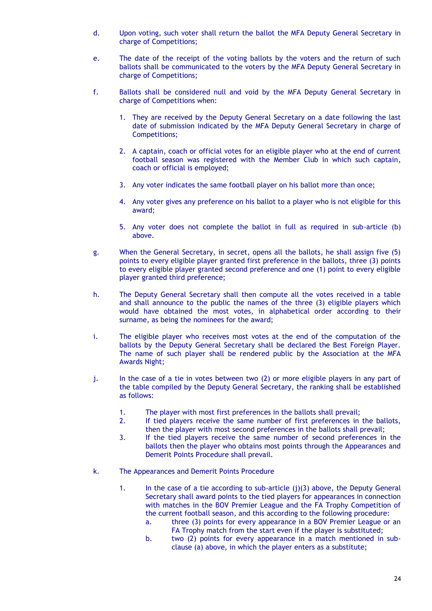- d. Upon voting, such voter shall return the ballot the MFA Deputy General Secretary in charge of Competitions;
- e. The date of the receipt of the voting ballots by the voters and the return of such ballots shall be communicated to the voters by the MFA Deputy General Secretary in charge of Competitions;
- f. Ballots shall be considered null and void by the MFA Deputy General Secretary in charge of Competitions when:
	- 1. They are received by the Deputy General Secretary on a date following the last date of submission indicated by the MFA Deputy General Secretary in charge of Competitions;
	- 2. A captain, coach or official votes for an eligible player who at the end of current football season was registered with the Member Club in which such captain, coach or official is employed;
	- 3. Any voter indicates the same football player on his ballot more than once;
	- 4. Any voter gives any preference on his ballot to a player who is not eligible for this award;
	- 5. Any voter does not complete the ballot in full as required in sub-article (b) above.
- g. When the General Secretary, in secret, opens all the ballots, he shall assign five (5) points to every eligible player granted first preference in the ballots, three (3) points to every eligible player granted second preference and one (1) point to every eligible player granted third preference;
- h. The Deputy General Secretary shall then compute all the votes received in a table and shall announce to the public the names of the three (3) eligible players which would have obtained the most votes, in alphabetical order according to their surname, as being the nominees for the award;
- i. The eligible player who receives most votes at the end of the computation of the ballots by the Deputy General Secretary shall be declared the Best Foreign Player. The name of such player shall be rendered public by the Association at the MFA Awards Night;
- j. In the case of a tie in votes between two (2) or more eligible players in any part of the table compiled by the Deputy General Secretary, the ranking shall be established as follows:
	- 1. The player with most first preferences in the ballots shall prevail;
	- 2. If tied players receive the same number of first preferences in the ballots, then the player with most second preferences in the ballots shall prevail;
	- 3. If the tied players receive the same number of second preferences in the ballots then the player who obtains most points through the Appearances and Demerit Points Procedure shall prevail.
- k. The Appearances and Demerit Points Procedure
	- 1. In the case of a tie according to sub-article (j)(3) above, the Deputy General Secretary shall award points to the tied players for appearances in connection with matches in the BOV Premier League and the FA Trophy Competition of the current football season, and this according to the following procedure:
		- a. three (3) points for every appearance in a BOV Premier League or an FA Trophy match from the start even if the player is substituted;
		- b. two (2) points for every appearance in a match mentioned in subclause (a) above, in which the player enters as a substitute;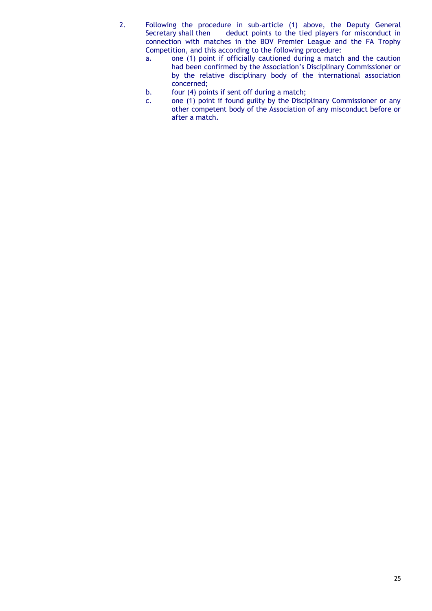- 2. Following the procedure in sub-article (1) above, the Deputy General<br>Secretary shall then deduct points to the tied players for misconduct in deduct points to the tied players for misconduct in connection with matches in the BOV Premier League and the FA Trophy Competition, and this according to the following procedure:
	- a. one (1) point if officially cautioned during a match and the caution had been confirmed by the Association's Disciplinary Commissioner or by the relative disciplinary body of the international association concerned;
	- b. four (4) points if sent off during a match;
	- c. one (1) point if found guilty by the Disciplinary Commissioner or any other competent body of the Association of any misconduct before or after a match.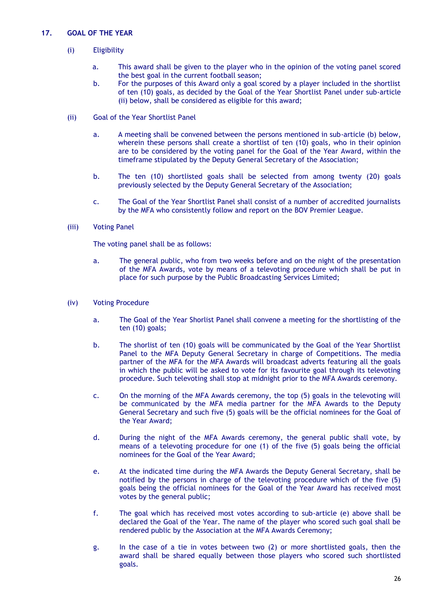## **17. GOAL OF THE YEAR**

- (i) Eligibility
	- a. This award shall be given to the player who in the opinion of the voting panel scored the best goal in the current football season;
	- b. For the purposes of this Award only a goal scored by a player included in the shortlist of ten (10) goals, as decided by the Goal of the Year Shortlist Panel under sub-article (ii) below, shall be considered as eligible for this award;
- (ii) Goal of the Year Shortlist Panel
	- a. A meeting shall be convened between the persons mentioned in sub-article (b) below, wherein these persons shall create a shortlist of ten (10) goals, who in their opinion are to be considered by the voting panel for the Goal of the Year Award, within the timeframe stipulated by the Deputy General Secretary of the Association;
	- b. The ten (10) shortlisted goals shall be selected from among twenty (20) goals previously selected by the Deputy General Secretary of the Association;
	- c. The Goal of the Year Shortlist Panel shall consist of a number of accredited journalists by the MFA who consistently follow and report on the BOV Premier League.
- (iii) Voting Panel

- a. The general public, who from two weeks before and on the night of the presentation of the MFA Awards, vote by means of a televoting procedure which shall be put in place for such purpose by the Public Broadcasting Services Limited;
- (iv) Voting Procedure
	- a. The Goal of the Year Shorlist Panel shall convene a meeting for the shortlisting of the ten (10) goals;
	- b. The shorlist of ten (10) goals will be communicated by the Goal of the Year Shortlist Panel to the MFA Deputy General Secretary in charge of Competitions. The media partner of the MFA for the MFA Awards will broadcast adverts featuring all the goals in which the public will be asked to vote for its favourite goal through its televoting procedure. Such televoting shall stop at midnight prior to the MFA Awards ceremony.
	- c. On the morning of the MFA Awards ceremony, the top (5) goals in the televoting will be communicated by the MFA media partner for the MFA Awards to the Deputy General Secretary and such five (5) goals will be the official nominees for the Goal of the Year Award;
	- d. During the night of the MFA Awards ceremony, the general public shall vote, by means of a televoting procedure for one (1) of the five (5) goals being the official nominees for the Goal of the Year Award;
	- e. At the indicated time during the MFA Awards the Deputy General Secretary, shall be notified by the persons in charge of the televoting procedure which of the five (5) goals being the official nominees for the Goal of the Year Award has received most votes by the general public;
	- f. The goal which has received most votes according to sub-article (e) above shall be declared the Goal of the Year. The name of the player who scored such goal shall be rendered public by the Association at the MFA Awards Ceremony;
	- g. In the case of a tie in votes between two (2) or more shortlisted goals, then the award shall be shared equally between those players who scored such shortlisted goals.